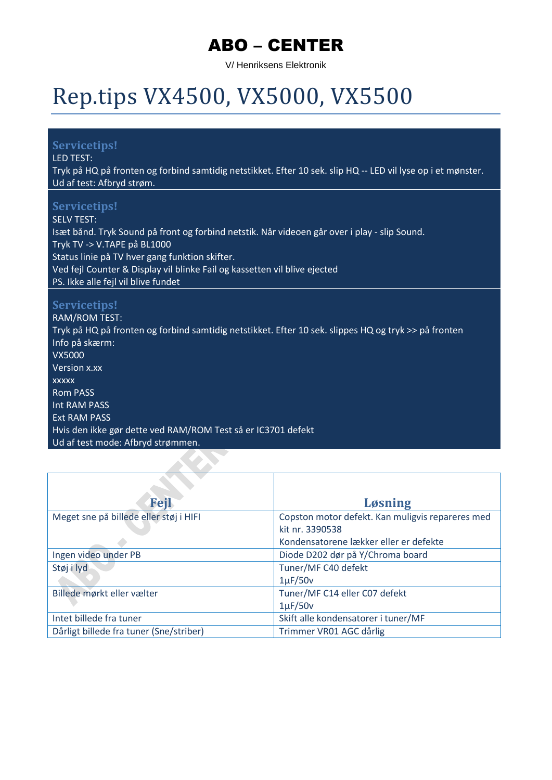V/ Henriksens Elektronik

## Rep.tips VX4500, VX5000, VX5500

#### **Servicetips!**

LED TEST:

Tryk på HQ på fronten og forbind samtidig netstikket. Efter 10 sek. slip HQ -- LED vil lyse op i et mønster. Ud af test: Afbryd strøm.

#### **Servicetips!**

SELV TEST: Isæt bånd. Tryk Sound på front og forbind netstik. Når videoen går over i play - slip Sound. Tryk TV -> V.TAPE på BL1000 Status linie på TV hver gang funktion skifter. Ved fejl Counter & Display vil blinke Fail og kassetten vil blive ejected PS. Ikke alle fejl vil blive fundet

#### **Servicetips!**

RAM/ROM TEST: Tryk på HQ på fronten og forbind samtidig netstikket. Efter 10 sek. slippes HQ og tryk >> på fronten Info på skærm: VX5000 Version x.xx xxxxx Rom PASS Int RAM PASS Ext RAM PASS Hvis den ikke gør dette ved RAM/ROM Test så er IC3701 defekt Ud af test mode: Afbryd strømmen.

| <b>Fejl</b>                             | <b>Løsning</b>                                   |
|-----------------------------------------|--------------------------------------------------|
| Meget sne på billede eller støj i HIFI  | Copston motor defekt. Kan muligvis repareres med |
|                                         | kit nr. 3390538                                  |
|                                         | Kondensatorene lækker eller er defekte           |
| Ingen video under PB                    | Diode D202 dør på Y/Chroma board                 |
| Støj i lyd                              | Tuner/MF C40 defekt                              |
|                                         | $1\mu$ F/50 $v$                                  |
| Billede mørkt eller vælter              | Tuner/MF C14 eller C07 defekt                    |
|                                         | $1\mu$ F/50 $v$                                  |
| Intet billede fra tuner                 | Skift alle kondensatorer i tuner/MF              |
| Dårligt billede fra tuner (Sne/striber) | Trimmer VR01 AGC dårlig                          |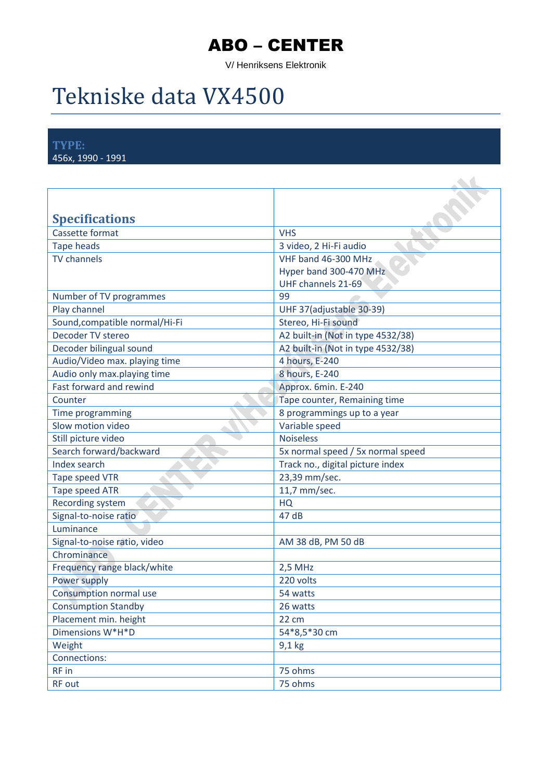V/ Henriksens Elektronik

## Tekniske data VX4500

**TYPE:** 456x, 1990 - 1991

| <b>Specifications</b>          |                                   |
|--------------------------------|-----------------------------------|
| Cassette format                | <b>VHS</b>                        |
| <b>Tape heads</b>              | 3 video, 2 Hi-Fi audio            |
| <b>TV</b> channels             | VHF band 46-300 MHz               |
|                                | Hyper band 300-470 MHz            |
|                                | UHF channels 21-69                |
| Number of TV programmes        | 99                                |
| Play channel                   | UHF 37(adjustable 30-39)          |
| Sound, compatible normal/Hi-Fi | Stereo, Hi-Fi sound               |
| Decoder TV stereo              | A2 built-in (Not in type 4532/38) |
| Decoder bilingual sound        | A2 built-in (Not in type 4532/38) |
| Audio/Video max. playing time  | 4 hours, E-240                    |
| Audio only max.playing time    | 8 hours, E-240                    |
| Fast forward and rewind        | Approx. 6min. E-240               |
| Counter                        | Tape counter, Remaining time      |
| Time programming               | 8 programmings up to a year       |
| Slow motion video              | Variable speed                    |
| Still picture video            | <b>Noiseless</b>                  |
| Search forward/backward        | 5x normal speed / 5x normal speed |
| Index search                   | Track no., digital picture index  |
| Tape speed VTR                 | 23,39 mm/sec.                     |
| <b>Tape speed ATR</b>          | 11,7 mm/sec.                      |
| Recording system               | HQ                                |
| Signal-to-noise ratio          | 47 dB                             |
| Luminance                      |                                   |
| Signal-to-noise ratio, video   | AM 38 dB, PM 50 dB                |
| Chrominance                    |                                   |
| Frequency range black/white    | 2,5 MHz                           |
| Power supply                   | 220 volts                         |
| Consumption normal use         | 54 watts                          |
| <b>Consumption Standby</b>     | 26 watts                          |
| Placement min. height          | 22 cm                             |
| Dimensions W*H*D               | 54*8,5*30 cm                      |
| Weight                         | $9,1$ kg                          |
| Connections:                   |                                   |
| RF in                          | 75 ohms                           |
| RF out                         | 75 ohms                           |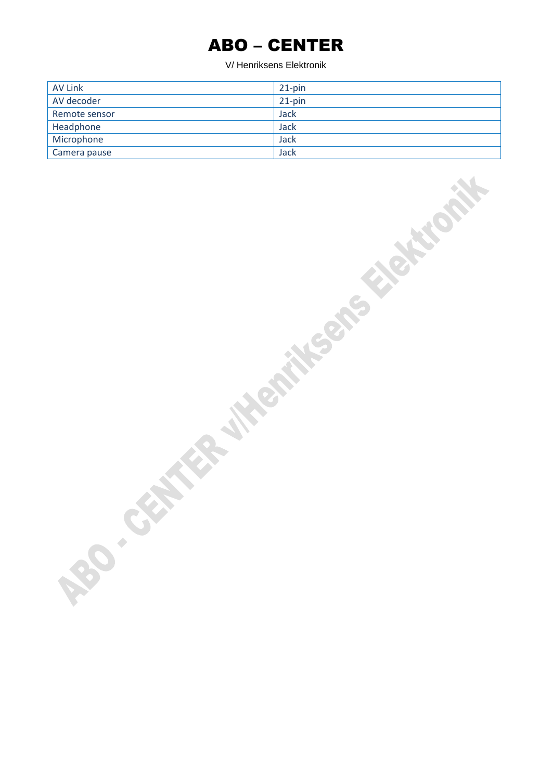| <b>AV Link</b> | $21$ -pin |
|----------------|-----------|
| AV decoder     | $21$ -pin |
| Remote sensor  | Jack      |
| Headphone      | Jack      |
| Microphone     | Jack      |
| Camera pause   | Jack      |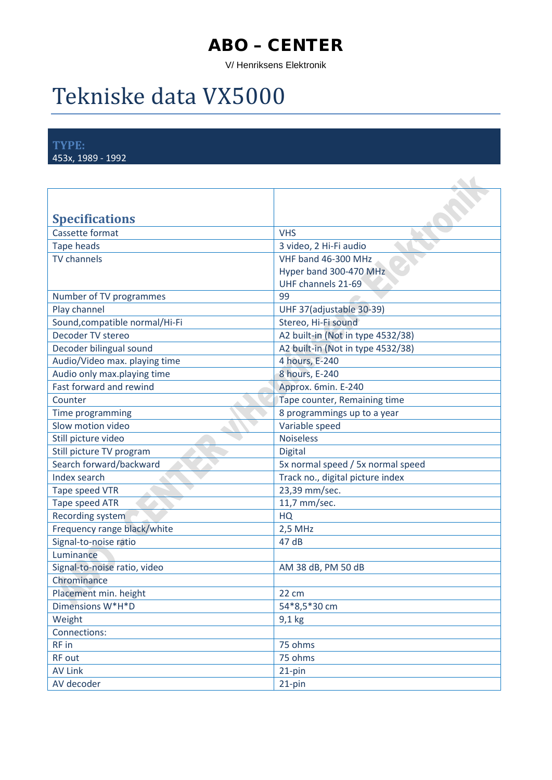V/ Henriksens Elektronik

## Tekniske data VX5000

**TYPE:** 453x, 1989 - 1992

| <b>Specifications</b>          |                                   |
|--------------------------------|-----------------------------------|
| Cassette format                | <b>VHS</b>                        |
| <b>Tape heads</b>              | 3 video, 2 Hi-Fi audio            |
| <b>TV</b> channels             | VHF band 46-300 MHz               |
|                                | Hyper band 300-470 MHz            |
|                                | UHF channels 21-69                |
| Number of TV programmes        | 99                                |
| Play channel                   | UHF 37(adjustable 30-39)          |
| Sound, compatible normal/Hi-Fi | Stereo, Hi-Fi sound               |
| Decoder TV stereo              | A2 built-in (Not in type 4532/38) |
| Decoder bilingual sound        | A2 built-in (Not in type 4532/38) |
| Audio/Video max. playing time  | 4 hours, E-240                    |
| Audio only max.playing time    | 8 hours, E-240                    |
| Fast forward and rewind        | Approx. 6min. E-240               |
| Counter                        | Tape counter, Remaining time      |
| Time programming               | 8 programmings up to a year       |
| Slow motion video              | Variable speed                    |
| Still picture video            | <b>Noiseless</b>                  |
| Still picture TV program       | <b>Digital</b>                    |
| Search forward/backward        | 5x normal speed / 5x normal speed |
| Index search                   | Track no., digital picture index  |
| Tape speed VTR                 | 23,39 mm/sec.                     |
| Tape speed ATR                 | 11,7 mm/sec.                      |
| Recording system               | HQ                                |
| Frequency range black/white    | 2,5 MHz                           |
| Signal-to-noise ratio          | 47dB                              |
| Luminance                      |                                   |
| Signal-to-noise ratio, video   | AM 38 dB, PM 50 dB                |
| Chrominance                    |                                   |
| Placement min. height          | 22 cm                             |
| Dimensions W*H*D               | 54*8,5*30 cm                      |
| Weight                         | 9,1 kg                            |
| Connections:                   |                                   |
| RF in                          | 75 ohms                           |
| RF out                         | 75 ohms                           |
| <b>AV Link</b>                 | 21-pin                            |
| AV decoder                     | 21-pin                            |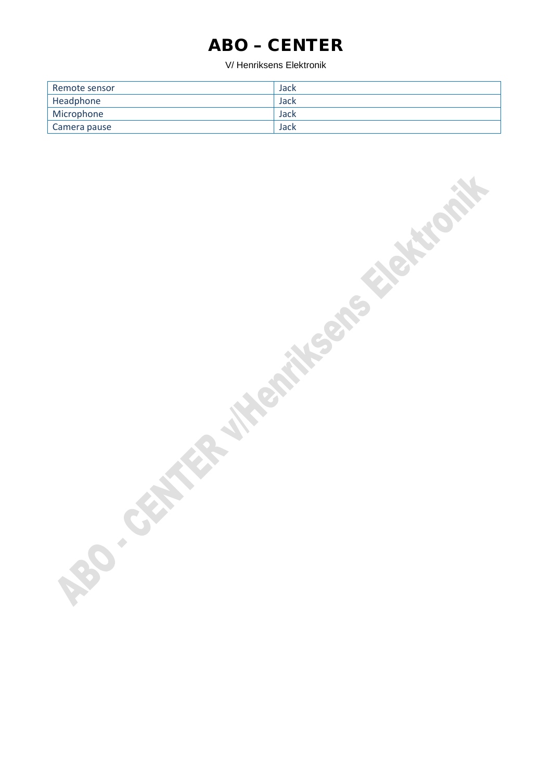| Remote sensor | Jack |
|---------------|------|
| Headphone     | Jack |
| Microphone    | Jack |
| Camera pause  | Jack |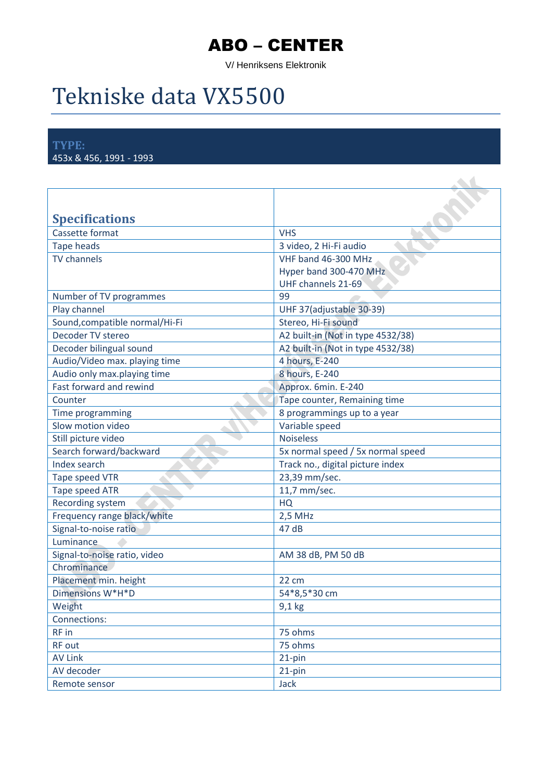V/ Henriksens Elektronik

# Tekniske data VX5500

**TYPE:** 453x & 456, 1991 - 1993

| <b>Specifications</b>          |                                   |
|--------------------------------|-----------------------------------|
| Cassette format                | <b>VHS</b>                        |
| <b>Tape heads</b>              | 3 video, 2 Hi-Fi audio            |
| <b>TV</b> channels             | VHF band 46-300 MHz               |
|                                | Hyper band 300-470 MHz            |
|                                | UHF channels 21-69                |
| Number of TV programmes        | 99                                |
| Play channel                   | UHF 37(adjustable 30-39)          |
| Sound, compatible normal/Hi-Fi | Stereo, Hi-Fi sound               |
| Decoder TV stereo              | A2 built-in (Not in type 4532/38) |
| Decoder bilingual sound        | A2 built-in (Not in type 4532/38) |
| Audio/Video max. playing time  | 4 hours, E-240                    |
| Audio only max.playing time    | 8 hours, E-240                    |
| Fast forward and rewind        | Approx. 6min. E-240               |
| Counter                        | Tape counter, Remaining time      |
| Time programming               | 8 programmings up to a year       |
| Slow motion video              | Variable speed                    |
| Still picture video            | <b>Noiseless</b>                  |
| Search forward/backward        | 5x normal speed / 5x normal speed |
| Index search                   | Track no., digital picture index  |
| Tape speed VTR                 | 23,39 mm/sec.                     |
| <b>Tape speed ATR</b>          | 11,7 mm/sec.                      |
| Recording system               | HQ                                |
| Frequency range black/white    | 2,5 MHz                           |
| Signal-to-noise ratio          | 47dB                              |
| <b>Luminance</b>               |                                   |
| Signal-to-noise ratio, video   | AM 38 dB, PM 50 dB                |
| Chrominance                    |                                   |
| Placement min. height          | 22 cm                             |
| Dimensions W*H*D               | 54*8,5*30 cm                      |
| Weight                         | $9,1$ kg                          |
| Connections:                   |                                   |
| RF in                          | 75 ohms                           |
| RF out                         | 75 ohms                           |
| <b>AV Link</b>                 | 21-pin                            |
| AV decoder                     | 21-pin                            |
| Remote sensor                  | Jack                              |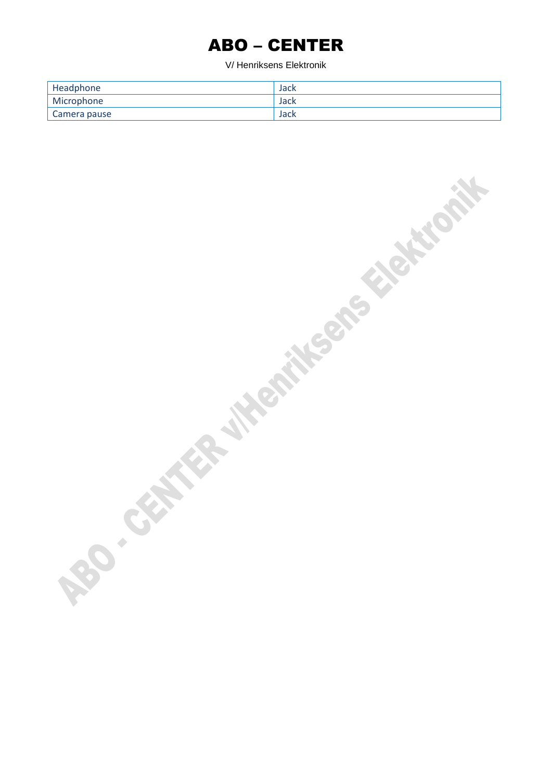| Headphone    | Jack |
|--------------|------|
| Microphone   | Jack |
| Camera pause | Jack |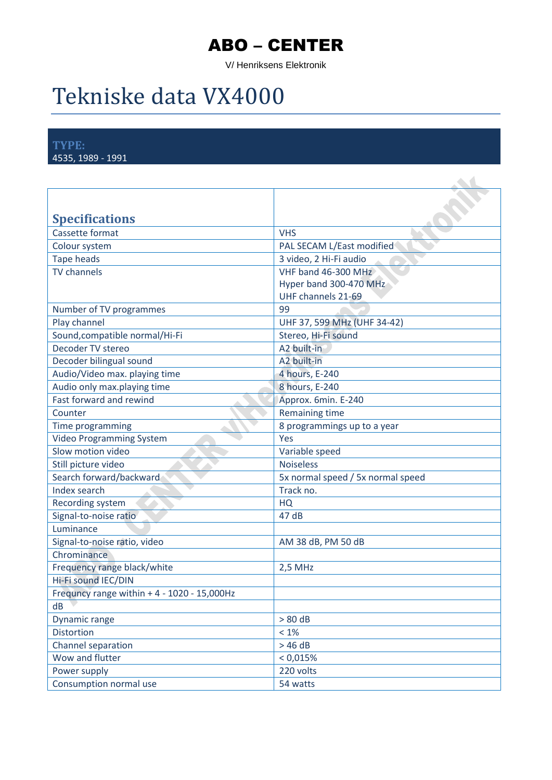V/ Henriksens Elektronik

## Tekniske data VX4000

**TYPE:** 4535, 1989 - 1991

| <b>Specifications</b>                          |                                                                     |
|------------------------------------------------|---------------------------------------------------------------------|
| Cassette format                                | <b>VHS</b>                                                          |
| Colour system                                  | PAL SECAM L/East modified                                           |
| Tape heads                                     | 3 video, 2 Hi-Fi audio                                              |
| <b>TV</b> channels                             | VHF band 46-300 MHz<br>Hyper band 300-470 MHz<br>UHF channels 21-69 |
| Number of TV programmes                        | 99                                                                  |
| Play channel                                   | UHF 37, 599 MHz (UHF 34-42)                                         |
| Sound, compatible normal/Hi-Fi                 | Stereo, Hi-Fi sound                                                 |
| Decoder TV stereo                              | A2 built-in                                                         |
| Decoder bilingual sound                        | A2 built-in                                                         |
| Audio/Video max. playing time                  | 4 hours, E-240                                                      |
| Audio only max.playing time                    | 8 hours, E-240                                                      |
| Fast forward and rewind                        | Approx. 6min. E-240                                                 |
| Counter                                        | <b>Remaining time</b>                                               |
| Time programming                               | 8 programmings up to a year                                         |
| <b>Video Programming System</b>                | Yes                                                                 |
| Slow motion video                              | Variable speed                                                      |
| Still picture video                            | <b>Noiseless</b>                                                    |
| Search forward/backward                        | 5x normal speed / 5x normal speed                                   |
| Index search                                   | Track no.                                                           |
| Recording system                               | <b>HQ</b>                                                           |
| Signal-to-noise ratio                          | 47 dB                                                               |
| Luminance                                      |                                                                     |
| Signal-to-noise ratio, video                   | AM 38 dB, PM 50 dB                                                  |
| Chrominance                                    |                                                                     |
| Frequency range black/white                    | 2,5 MHz                                                             |
| Hi-Fi sound IEC/DIN                            |                                                                     |
| Frequncy range within $+ 4 - 1020 - 15,000$ Hz |                                                                     |
| dB                                             |                                                                     |
| Dynamic range                                  | $> 80$ dB                                                           |
| <b>Distortion</b>                              | $<1\%$                                                              |
| Channel separation                             | >46 dB                                                              |
| Wow and flutter                                | < 0.015%                                                            |
| Power supply                                   | 220 volts                                                           |
| Consumption normal use                         | 54 watts                                                            |